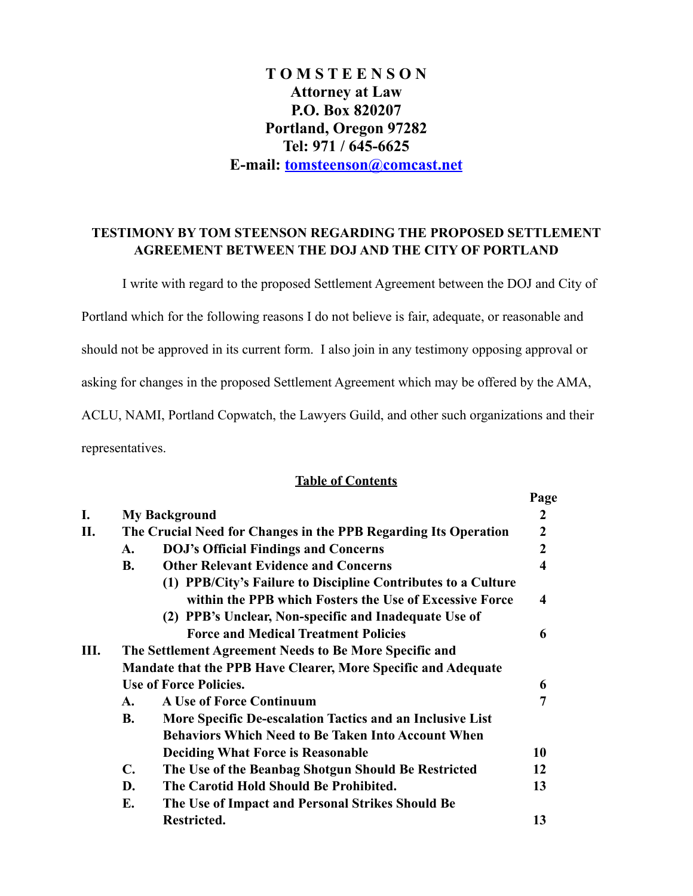# **T O M S T E E N S O N Attorney at Law P.O. Box 820207 Portland, Oregon 97282 Tel: 971 / 645-6625 E-mail: [tomsteenson@comcast.net](mailto:tomsteenson@comcast.net)**

## **TESTIMONY BY TOM STEENSON REGARDING THE PROPOSED SETTLEMENT AGREEMENT BETWEEN THE DOJ AND THE CITY OF PORTLAND**

 I write with regard to the proposed Settlement Agreement between the DOJ and City of Portland which for the following reasons I do not believe is fair, adequate, or reasonable and should not be approved in its current form. I also join in any testimony opposing approval or asking for changes in the proposed Settlement Agreement which may be offered by the AMA, ACLU, NAMI, Portland Copwatch, the Lawyers Guild, and other such organizations and their representatives.

# **Table of Contents**

|    |                                                                      |                                                               | Page                    |
|----|----------------------------------------------------------------------|---------------------------------------------------------------|-------------------------|
| I. |                                                                      | <b>My Background</b>                                          | $\overline{2}$          |
| П. | The Crucial Need for Changes in the PPB Regarding Its Operation      |                                                               | $\overline{2}$          |
|    | A.                                                                   | <b>DOJ's Official Findings and Concerns</b>                   | $\boldsymbol{2}$        |
|    | <b>B.</b>                                                            | <b>Other Relevant Evidence and Concerns</b>                   | $\overline{\mathbf{4}}$ |
|    |                                                                      | (1) PPB/City's Failure to Discipline Contributes to a Culture |                         |
|    |                                                                      | within the PPB which Fosters the Use of Excessive Force       | $\overline{\mathbf{4}}$ |
|    |                                                                      | (2) PPB's Unclear, Non-specific and Inadequate Use of         |                         |
|    |                                                                      | <b>Force and Medical Treatment Policies</b>                   | 6                       |
| Ш. | The Settlement Agreement Needs to Be More Specific and               |                                                               |                         |
|    | <b>Mandate that the PPB Have Clearer, More Specific and Adequate</b> |                                                               |                         |
|    | <b>Use of Force Policies.</b>                                        |                                                               |                         |
|    | $\mathbf{A}$ .                                                       | <b>A Use of Force Continuum</b>                               | 7                       |
|    | <b>B.</b>                                                            | More Specific De-escalation Tactics and an Inclusive List     |                         |
|    |                                                                      | <b>Behaviors Which Need to Be Taken Into Account When</b>     |                         |
|    |                                                                      | <b>Deciding What Force is Reasonable</b>                      | 10                      |
|    | $\mathbf{C}$ .                                                       | The Use of the Beanbag Shotgun Should Be Restricted           | 12                      |
|    | D.                                                                   | The Carotid Hold Should Be Prohibited.                        | 13                      |
|    | E.                                                                   | The Use of Impact and Personal Strikes Should Be              |                         |
|    |                                                                      | Restricted.                                                   | 13                      |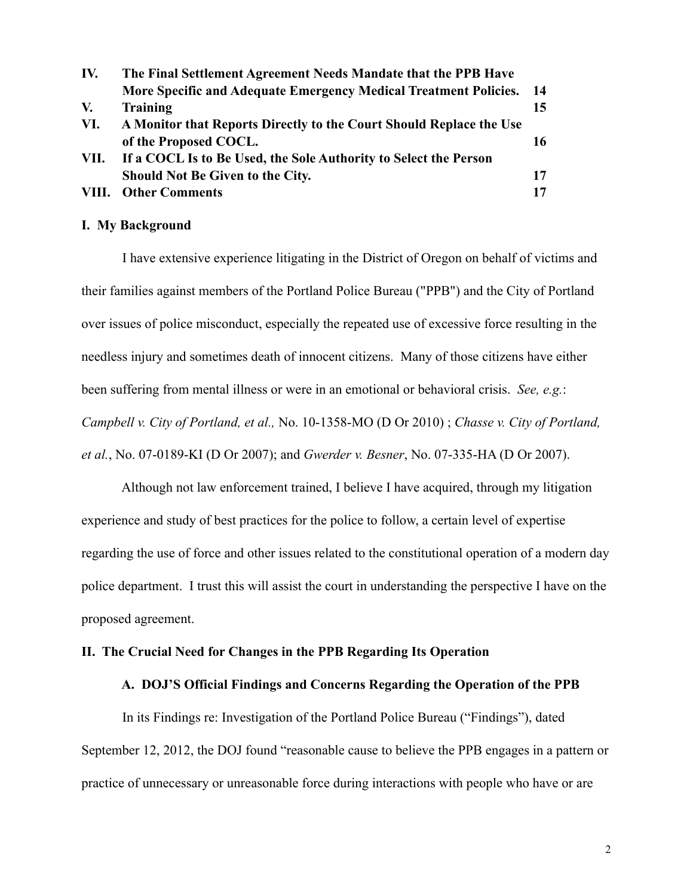| IV. | The Final Settlement Agreement Needs Mandate that the PPB Have        |     |  |  |
|-----|-----------------------------------------------------------------------|-----|--|--|
|     | More Specific and Adequate Emergency Medical Treatment Policies.      | -14 |  |  |
| V.  | Training                                                              | 15  |  |  |
| VI. | A Monitor that Reports Directly to the Court Should Replace the Use   |     |  |  |
|     | of the Proposed COCL.                                                 | 16  |  |  |
|     | VII. If a COCL Is to Be Used, the Sole Authority to Select the Person |     |  |  |
|     | <b>Should Not Be Given to the City.</b>                               | 17  |  |  |
|     | <b>VIII.</b> Other Comments                                           | 17  |  |  |

### **I. My Background**

 I have extensive experience litigating in the District of Oregon on behalf of victims and their families against members of the Portland Police Bureau ("PPB") and the City of Portland over issues of police misconduct, especially the repeated use of excessive force resulting in the needless injury and sometimes death of innocent citizens. Many of those citizens have either been suffering from mental illness or were in an emotional or behavioral crisis. *See, e.g.*: *Campbell v. City of Portland, et al.,* No. 10-1358-MO (D Or 2010) ; *Chasse v. City of Portland, et al.*, No. 07-0189-KI (D Or 2007); and *Gwerder v. Besner*, No. 07-335-HA (D Or 2007).

 Although not law enforcement trained, I believe I have acquired, through my litigation experience and study of best practices for the police to follow, a certain level of expertise regarding the use of force and other issues related to the constitutional operation of a modern day police department. I trust this will assist the court in understanding the perspective I have on the proposed agreement.

#### **II. The Crucial Need for Changes in the PPB Regarding Its Operation**

### **A. DOJ'S Official Findings and Concerns Regarding the Operation of the PPB**

In its Findings re: Investigation of the Portland Police Bureau ("Findings"), dated September 12, 2012, the DOJ found "reasonable cause to believe the PPB engages in a pattern or practice of unnecessary or unreasonable force during interactions with people who have or are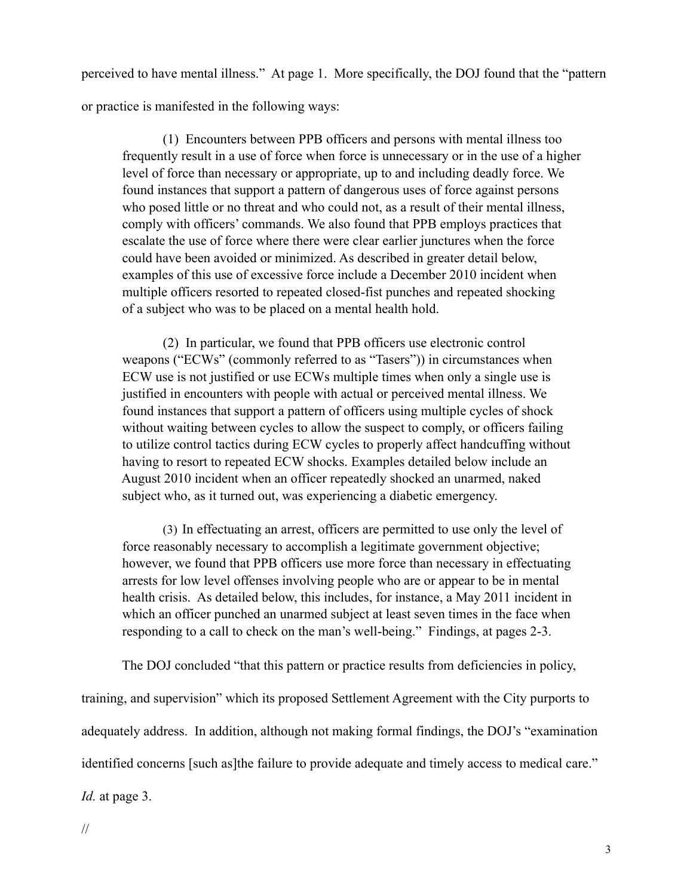perceived to have mental illness." At page 1. More specifically, the DOJ found that the "pattern or practice is manifested in the following ways:

 (1) Encounters between PPB officers and persons with mental illness too frequently result in a use of force when force is unnecessary or in the use of a higher level of force than necessary or appropriate, up to and including deadly force. We found instances that support a pattern of dangerous uses of force against persons who posed little or no threat and who could not, as a result of their mental illness, comply with officers' commands. We also found that PPB employs practices that escalate the use of force where there were clear earlier junctures when the force could have been avoided or minimized. As described in greater detail below, examples of this use of excessive force include a December 2010 incident when multiple officers resorted to repeated closed-fist punches and repeated shocking of a subject who was to be placed on a mental health hold.

 (2) In particular, we found that PPB officers use electronic control weapons ("ECWs" (commonly referred to as "Tasers")) in circumstances when ECW use is not justified or use ECWs multiple times when only a single use is justified in encounters with people with actual or perceived mental illness. We found instances that support a pattern of officers using multiple cycles of shock without waiting between cycles to allow the suspect to comply, or officers failing to utilize control tactics during ECW cycles to properly affect handcuffing without having to resort to repeated ECW shocks. Examples detailed below include an August 2010 incident when an officer repeatedly shocked an unarmed, naked subject who, as it turned out, was experiencing a diabetic emergency.

(3) In effectuating an arrest, officers are permitted to use only the level of force reasonably necessary to accomplish a legitimate government objective; however, we found that PPB officers use more force than necessary in effectuating arrests for low level offenses involving people who are or appear to be in mental health crisis. As detailed below, this includes, for instance, a May 2011 incident in which an officer punched an unarmed subject at least seven times in the face when responding to a call to check on the man's well-being." Findings, at pages 2-3.

The DOJ concluded "that this pattern or practice results from deficiencies in policy,

training, and supervision" which its proposed Settlement Agreement with the City purports to adequately address. In addition, although not making formal findings, the DOJ's "examination identified concerns [such as]the failure to provide adequate and timely access to medical care."

*Id.* at page 3.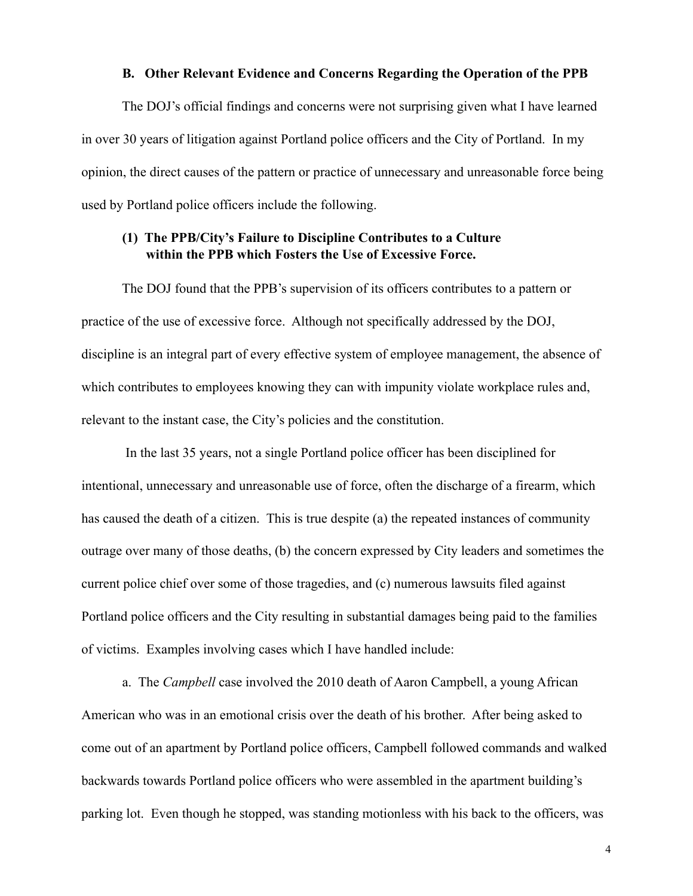#### **B. Other Relevant Evidence and Concerns Regarding the Operation of the PPB**

 The DOJ's official findings and concerns were not surprising given what I have learned in over 30 years of litigation against Portland police officers and the City of Portland. In my opinion, the direct causes of the pattern or practice of unnecessary and unreasonable force being used by Portland police officers include the following.

### **(1) The PPB/City's Failure to Discipline Contributes to a Culture within the PPB which Fosters the Use of Excessive Force.**

 The DOJ found that the PPB's supervision of its officers contributes to a pattern or practice of the use of excessive force. Although not specifically addressed by the DOJ, discipline is an integral part of every effective system of employee management, the absence of which contributes to employees knowing they can with impunity violate workplace rules and, relevant to the instant case, the City's policies and the constitution.

 In the last 35 years, not a single Portland police officer has been disciplined for intentional, unnecessary and unreasonable use of force, often the discharge of a firearm, which has caused the death of a citizen. This is true despite (a) the repeated instances of community outrage over many of those deaths, (b) the concern expressed by City leaders and sometimes the current police chief over some of those tragedies, and (c) numerous lawsuits filed against Portland police officers and the City resulting in substantial damages being paid to the families of victims. Examples involving cases which I have handled include:

 a. The *Campbell* case involved the 2010 death of Aaron Campbell, a young African American who was in an emotional crisis over the death of his brother. After being asked to come out of an apartment by Portland police officers, Campbell followed commands and walked backwards towards Portland police officers who were assembled in the apartment building's parking lot. Even though he stopped, was standing motionless with his back to the officers, was

4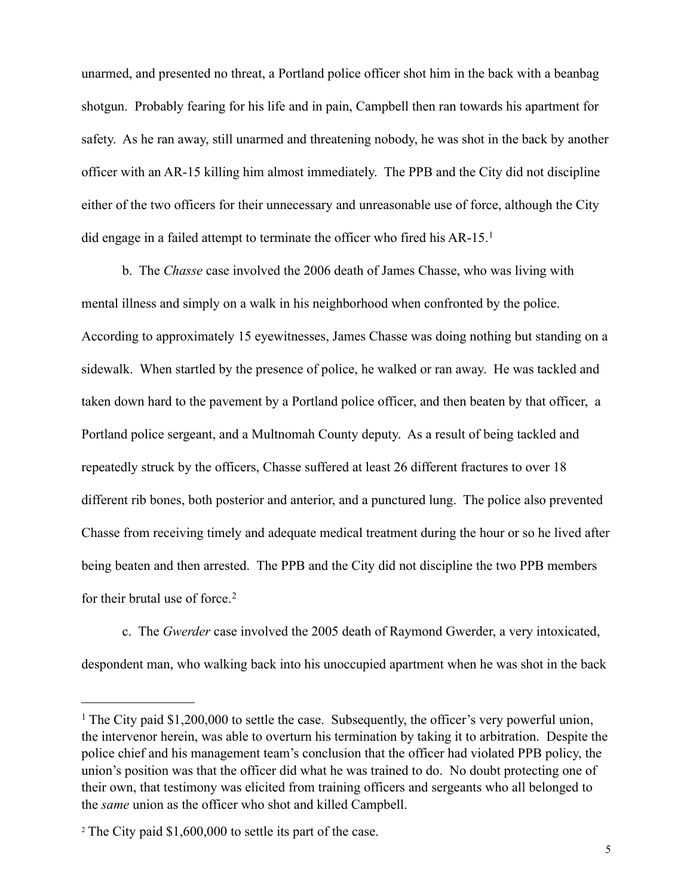unarmed, and presented no threat, a Portland police officer shot him in the back with a beanbag shotgun. Probably fearing for his life and in pain, Campbell then ran towards his apartment for safety. As he ran away, still unarmed and threatening nobody, he was shot in the back by another officer with an AR-15 killing him almost immediately. The PPB and the City did not discipline either of the two officers for their unnecessary and unreasonable use of force, although the City did engage in a failed attempt to terminate the officer who fired his AR-15.[1](#page-4-0)

 b. The *Chasse* case involved the 2006 death of James Chasse, who was living with mental illness and simply on a walk in his neighborhood when confronted by the police. According to approximately 15 eyewitnesses, James Chasse was doing nothing but standing on a sidewalk. When startled by the presence of police, he walked or ran away. He was tackled and taken down hard to the pavement by a Portland police officer, and then beaten by that officer, a Portland police sergeant, and a Multnomah County deputy. As a result of being tackled and repeatedly struck by the officers, Chasse suffered at least 26 different fractures to over 18 different rib bones, both posterior and anterior, and a punctured lung. The police also prevented Chasse from receiving timely and adequate medical treatment during the hour or so he lived after being beaten and then arrested. The PPB and the City did not discipline the two PPB members for their brutal use of force. [2](#page-4-1)

 c. The *Gwerder* case involved the 2005 death of Raymond Gwerder, a very intoxicated, despondent man, who walking back into his unoccupied apartment when he was shot in the back

<span id="page-4-0"></span><sup>&</sup>lt;sup>1</sup> The City paid \$1,200,000 to settle the case. Subsequently, the officer's very powerful union, the intervenor herein, was able to overturn his termination by taking it to arbitration. Despite the police chief and his management team's conclusion that the officer had violated PPB policy, the union's position was that the officer did what he was trained to do. No doubt protecting one of their own, that testimony was elicited from training officers and sergeants who all belonged to the *same* union as the officer who shot and killed Campbell.

<span id="page-4-1"></span><sup>2</sup> The City paid \$1,600,000 to settle its part of the case.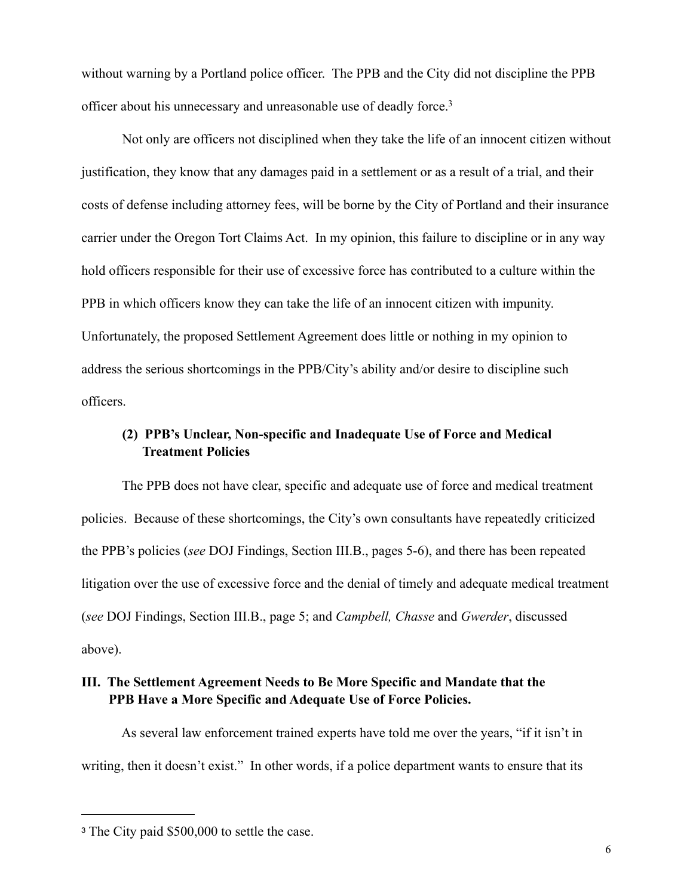without warning by a Portland police officer. The PPB and the City did not discipline the PPB officer about his unnecessary and unreasonable use of deadly force[.3](#page-5-0)

 Not only are officers not disciplined when they take the life of an innocent citizen without justification, they know that any damages paid in a settlement or as a result of a trial, and their costs of defense including attorney fees, will be borne by the City of Portland and their insurance carrier under the Oregon Tort Claims Act. In my opinion, this failure to discipline or in any way hold officers responsible for their use of excessive force has contributed to a culture within the PPB in which officers know they can take the life of an innocent citizen with impunity. Unfortunately, the proposed Settlement Agreement does little or nothing in my opinion to address the serious shortcomings in the PPB/City's ability and/or desire to discipline such officers.

# **(2) PPB's Unclear, Non-specific and Inadequate Use of Force and Medical Treatment Policies**

 The PPB does not have clear, specific and adequate use of force and medical treatment policies. Because of these shortcomings, the City's own consultants have repeatedly criticized the PPB's policies (*see* DOJ Findings, Section III.B., pages 5-6), and there has been repeated litigation over the use of excessive force and the denial of timely and adequate medical treatment (*see* DOJ Findings, Section III.B., page 5; and *Campbell, Chasse* and *Gwerder*, discussed above).

### **III. The Settlement Agreement Needs to Be More Specific and Mandate that the PPB Have a More Specific and Adequate Use of Force Policies.**

 As several law enforcement trained experts have told me over the years, "if it isn't in writing, then it doesn't exist." In other words, if a police department wants to ensure that its

<span id="page-5-0"></span><sup>3</sup> The City paid \$500,000 to settle the case.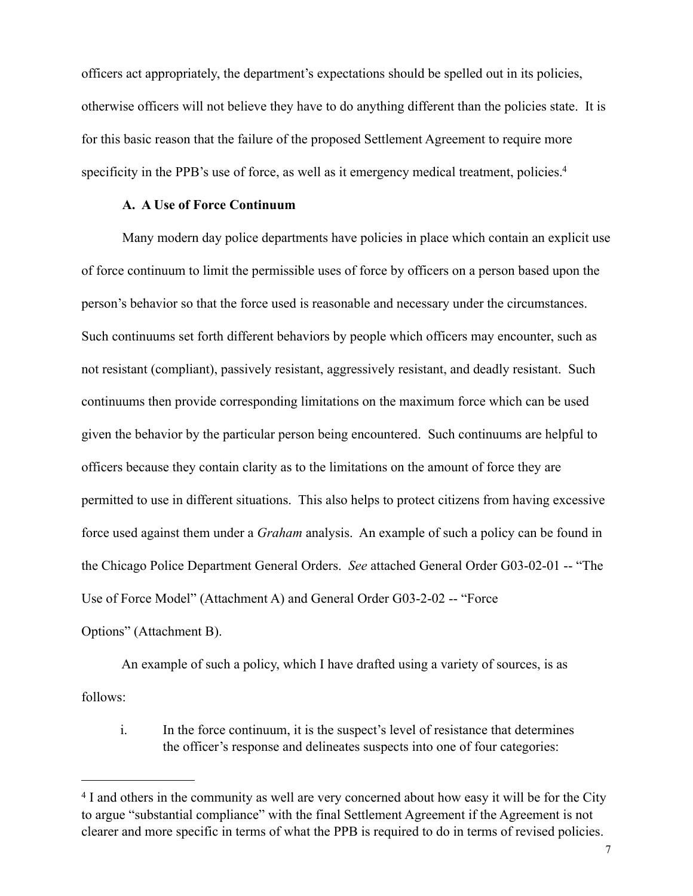officers act appropriately, the department's expectations should be spelled out in its policies, otherwise officers will not believe they have to do anything different than the policies state. It is for this basic reason that the failure of the proposed Settlement Agreement to require more specificity in the PPB's use of force, as well as it emergency medical treatment, policies.<sup>4</sup>

### **A. A Use of Force Continuum**

 Many modern day police departments have policies in place which contain an explicit use of force continuum to limit the permissible uses of force by officers on a person based upon the person's behavior so that the force used is reasonable and necessary under the circumstances. Such continuums set forth different behaviors by people which officers may encounter, such as not resistant (compliant), passively resistant, aggressively resistant, and deadly resistant. Such continuums then provide corresponding limitations on the maximum force which can be used given the behavior by the particular person being encountered. Such continuums are helpful to officers because they contain clarity as to the limitations on the amount of force they are permitted to use in different situations. This also helps to protect citizens from having excessive force used against them under a *Graham* analysis. An example of such a policy can be found in the Chicago Police Department General Orders. *See* attached General Order G03-02-01 -- "The Use of Force Model" (Attachment A) and General Order G03-2-02 -- "Force Options" (Attachment B).

 An example of such a policy, which I have drafted using a variety of sources, is as follows:

 i. In the force continuum, it is the suspect's level of resistance that determines the officer's response and delineates suspects into one of four categories:

<span id="page-6-0"></span><sup>&</sup>lt;sup>4</sup> I and others in the community as well are very concerned about how easy it will be for the City to argue "substantial compliance" with the final Settlement Agreement if the Agreement is not clearer and more specific in terms of what the PPB is required to do in terms of revised policies.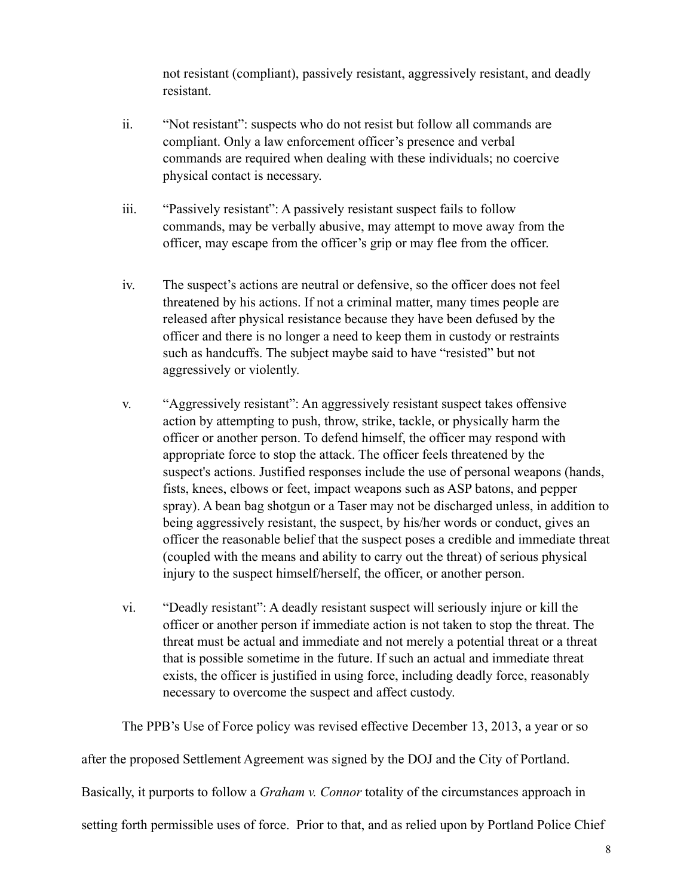not resistant (compliant), passively resistant, aggressively resistant, and deadly resistant.

- ii. "Not resistant": suspects who do not resist but follow all commands are compliant. Only a law enforcement officer's presence and verbal commands are required when dealing with these individuals; no coercive physical contact is necessary.
- iii. "Passively resistant": A passively resistant suspect fails to follow commands, may be verbally abusive, may attempt to move away from the officer, may escape from the officer's grip or may flee from the officer.
- iv. The suspect's actions are neutral or defensive, so the officer does not feel threatened by his actions. If not a criminal matter, many times people are released after physical resistance because they have been defused by the officer and there is no longer a need to keep them in custody or restraints such as handcuffs. The subject maybe said to have "resisted" but not aggressively or violently.
- v. "Aggressively resistant": An aggressively resistant suspect takes offensive action by attempting to push, throw, strike, tackle, or physically harm the officer or another person. To defend himself, the officer may respond with appropriate force to stop the attack. The officer feels threatened by the suspect's actions. Justified responses include the use of personal weapons (hands, fists, knees, elbows or feet, impact weapons such as ASP batons, and pepper spray). A bean bag shotgun or a Taser may not be discharged unless, in addition to being aggressively resistant, the suspect, by his/her words or conduct, gives an officer the reasonable belief that the suspect poses a credible and immediate threat (coupled with the means and ability to carry out the threat) of serious physical injury to the suspect himself/herself, the officer, or another person.
- vi. "Deadly resistant": A deadly resistant suspect will seriously injure or kill the officer or another person if immediate action is not taken to stop the threat. The threat must be actual and immediate and not merely a potential threat or a threat that is possible sometime in the future. If such an actual and immediate threat exists, the officer is justified in using force, including deadly force, reasonably necessary to overcome the suspect and affect custody.

The PPB's Use of Force policy was revised effective December 13, 2013, a year or so

after the proposed Settlement Agreement was signed by the DOJ and the City of Portland.

Basically, it purports to follow a *Graham v. Connor* totality of the circumstances approach in

setting forth permissible uses of force. Prior to that, and as relied upon by Portland Police Chief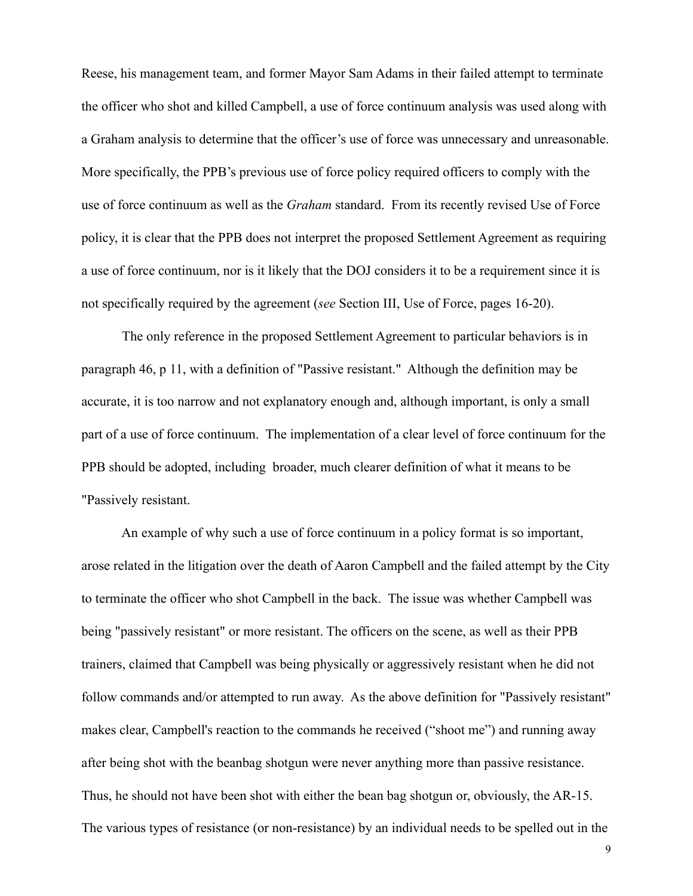Reese, his management team, and former Mayor Sam Adams in their failed attempt to terminate the officer who shot and killed Campbell, a use of force continuum analysis was used along with a Graham analysis to determine that the officer's use of force was unnecessary and unreasonable. More specifically, the PPB's previous use of force policy required officers to comply with the use of force continuum as well as the *Graham* standard. From its recently revised Use of Force policy, it is clear that the PPB does not interpret the proposed Settlement Agreement as requiring a use of force continuum, nor is it likely that the DOJ considers it to be a requirement since it is not specifically required by the agreement (*see* Section III, Use of Force, pages 16-20).

 The only reference in the proposed Settlement Agreement to particular behaviors is in paragraph 46, p 11, with a definition of "Passive resistant." Although the definition may be accurate, it is too narrow and not explanatory enough and, although important, is only a small part of a use of force continuum. The implementation of a clear level of force continuum for the PPB should be adopted, including broader, much clearer definition of what it means to be "Passively resistant.

 An example of why such a use of force continuum in a policy format is so important, arose related in the litigation over the death of Aaron Campbell and the failed attempt by the City to terminate the officer who shot Campbell in the back. The issue was whether Campbell was being "passively resistant" or more resistant. The officers on the scene, as well as their PPB trainers, claimed that Campbell was being physically or aggressively resistant when he did not follow commands and/or attempted to run away. As the above definition for "Passively resistant" makes clear, Campbell's reaction to the commands he received ("shoot me") and running away after being shot with the beanbag shotgun were never anything more than passive resistance. Thus, he should not have been shot with either the bean bag shotgun or, obviously, the AR-15. The various types of resistance (or non-resistance) by an individual needs to be spelled out in the

9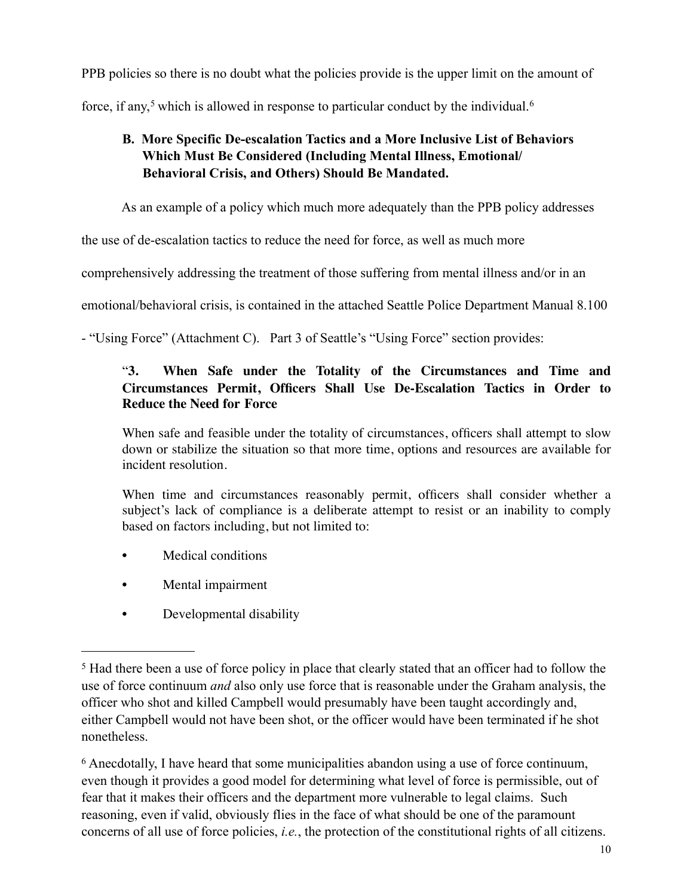PPB policies so there is no doubt what the policies provide is the upper limit on the amount of

force, if any,<sup>[5](#page-9-0)</sup> which is allowed in response to particular conduct by the individual.<sup>[6](#page-9-1)</sup>

# **B. More Specific De-escalation Tactics and a More Inclusive List of Behaviors Which Must Be Considered (Including Mental Illness, Emotional/ Behavioral Crisis, and Others) Should Be Mandated.**

As an example of a policy which much more adequately than the PPB policy addresses

the use of de-escalation tactics to reduce the need for force, as well as much more

comprehensively addressing the treatment of those suffering from mental illness and/or in an

emotional/behavioral crisis, is contained in the attached Seattle Police Department Manual 8.100

- "Using Force" (Attachment C). Part 3 of Seattle's "Using Force" section provides:

# "**3. When Safe under the Totality of the Circumstances and Time and Circumstances Permit, Officers Shall Use De-Escalation Tactics in Order to Reduce the Need for Force**

When safe and feasible under the totality of circumstances, officers shall attempt to slow down or stabilize the situation so that more time, options and resources are available for incident resolution.

When time and circumstances reasonably permit, officers shall consider whether a subject's lack of compliance is a deliberate attempt to resist or an inability to comply based on factors including, but not limited to:

- Medical conditions
- Mental impairment
- Developmental disability

<span id="page-9-1"></span>6 Anecdotally, I have heard that some municipalities abandon using a use of force continuum, even though it provides a good model for determining what level of force is permissible, out of fear that it makes their officers and the department more vulnerable to legal claims. Such reasoning, even if valid, obviously flies in the face of what should be one of the paramount concerns of all use of force policies, *i.e.*, the protection of the constitutional rights of all citizens.

<span id="page-9-0"></span><sup>5</sup> Had there been a use of force policy in place that clearly stated that an officer had to follow the use of force continuum *and* also only use force that is reasonable under the Graham analysis, the officer who shot and killed Campbell would presumably have been taught accordingly and, either Campbell would not have been shot, or the officer would have been terminated if he shot nonetheless.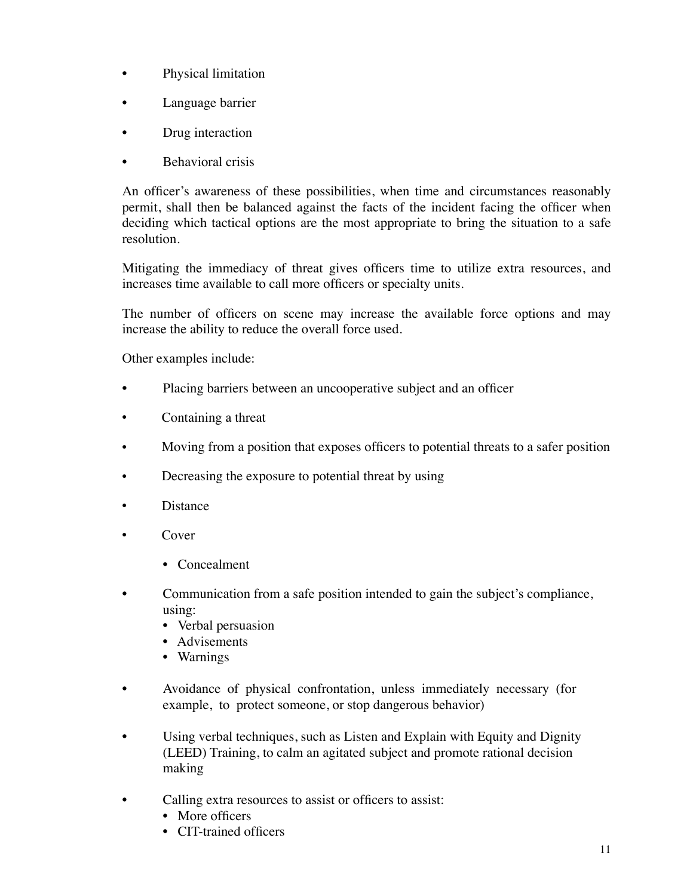- Physical limitation
- Language barrier
- Drug interaction
- **Behavioral crisis**

An officer's awareness of these possibilities, when time and circumstances reasonably permit, shall then be balanced against the facts of the incident facing the officer when deciding which tactical options are the most appropriate to bring the situation to a safe resolution.

Mitigating the immediacy of threat gives officers time to utilize extra resources, and increases time available to call more officers or specialty units.

The number of officers on scene may increase the available force options and may increase the ability to reduce the overall force used.

Other examples include:

- Placing barriers between an uncooperative subject and an officer
- Containing a threat
- Moving from a position that exposes officers to potential threats to a safer position
- Decreasing the exposure to potential threat by using
- Distance
- Cover
	- Concealment
- Communication from a safe position intended to gain the subject's compliance, using:
	- Verbal persuasion
	- Advisements
	- Warnings
- Avoidance of physical confrontation, unless immediately necessary (for example, to protect someone, or stop dangerous behavior)
- Using verbal techniques, such as Listen and Explain with Equity and Dignity (LEED) Training, to calm an agitated subject and promote rational decision making
- Calling extra resources to assist or officers to assist:
	- More officers
	- CIT-trained officers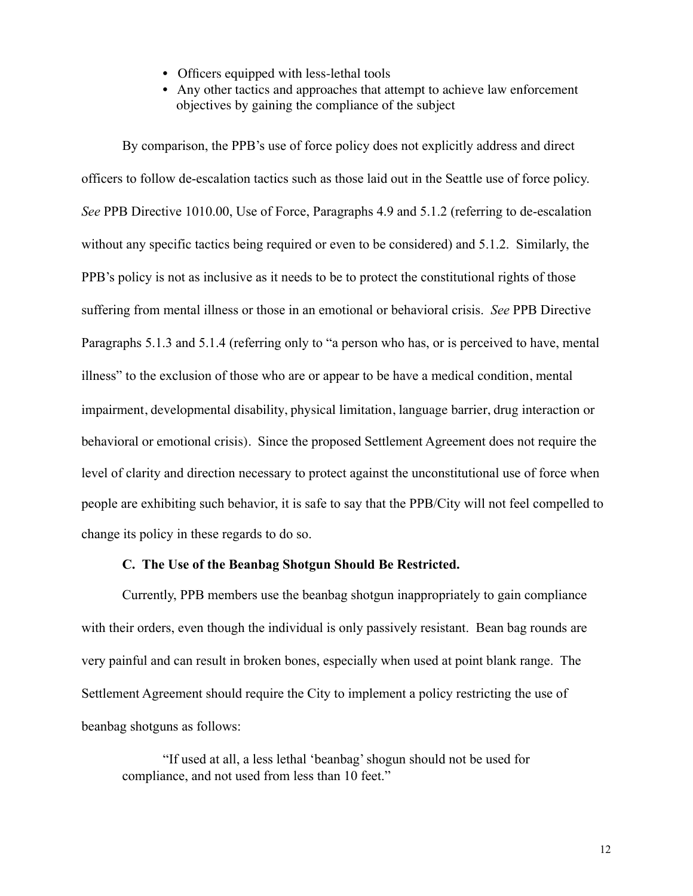- Officers equipped with less-lethal tools
- Any other tactics and approaches that attempt to achieve law enforcement objectives by gaining the compliance of the subject

By comparison, the PPB's use of force policy does not explicitly address and direct officers to follow de-escalation tactics such as those laid out in the Seattle use of force policy. *See* PPB Directive 1010.00, Use of Force, Paragraphs 4.9 and 5.1.2 (referring to de-escalation without any specific tactics being required or even to be considered) and 5.1.2. Similarly, the PPB's policy is not as inclusive as it needs to be to protect the constitutional rights of those suffering from mental illness or those in an emotional or behavioral crisis. *See* PPB Directive Paragraphs 5.1.3 and 5.1.4 (referring only to "a person who has, or is perceived to have, mental illness" to the exclusion of those who are or appear to be have a medical condition, mental impairment, developmental disability, physical limitation, language barrier, drug interaction or behavioral or emotional crisis). Since the proposed Settlement Agreement does not require the level of clarity and direction necessary to protect against the unconstitutional use of force when people are exhibiting such behavior, it is safe to say that the PPB/City will not feel compelled to change its policy in these regards to do so.

### **C. The Use of the Beanbag Shotgun Should Be Restricted.**

 Currently, PPB members use the beanbag shotgun inappropriately to gain compliance with their orders, even though the individual is only passively resistant. Bean bag rounds are very painful and can result in broken bones, especially when used at point blank range. The Settlement Agreement should require the City to implement a policy restricting the use of beanbag shotguns as follows:

 "If used at all, a less lethal 'beanbag' shogun should not be used for compliance, and not used from less than 10 feet."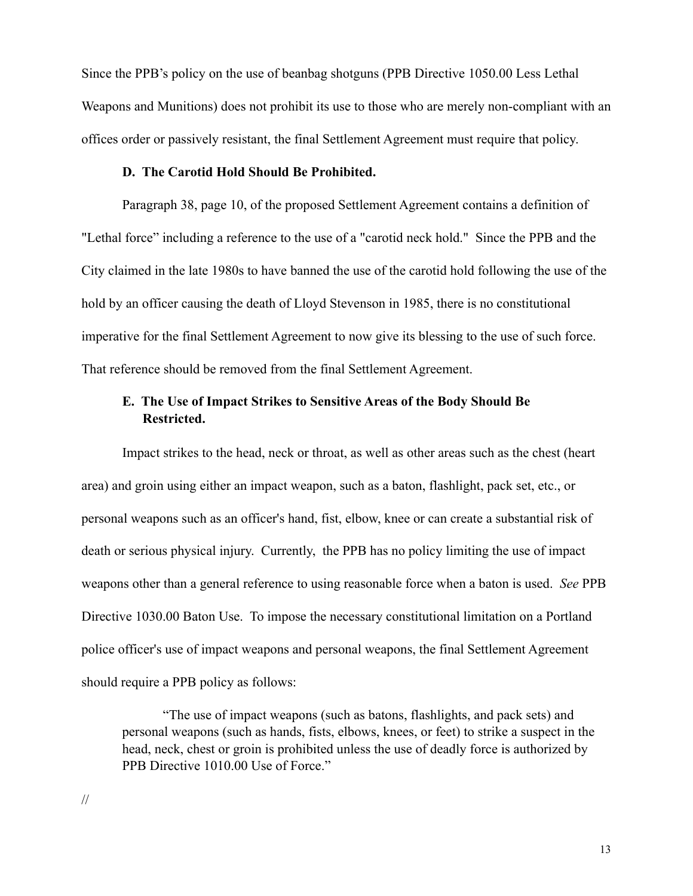Since the PPB's policy on the use of beanbag shotguns (PPB Directive 1050.00 Less Lethal Weapons and Munitions) does not prohibit its use to those who are merely non-compliant with an offices order or passively resistant, the final Settlement Agreement must require that policy.

#### **D. The Carotid Hold Should Be Prohibited.**

 Paragraph 38, page 10, of the proposed Settlement Agreement contains a definition of "Lethal force" including a reference to the use of a "carotid neck hold." Since the PPB and the City claimed in the late 1980s to have banned the use of the carotid hold following the use of the hold by an officer causing the death of Lloyd Stevenson in 1985, there is no constitutional imperative for the final Settlement Agreement to now give its blessing to the use of such force. That reference should be removed from the final Settlement Agreement.

### **E. The Use of Impact Strikes to Sensitive Areas of the Body Should Be Restricted.**

 Impact strikes to the head, neck or throat, as well as other areas such as the chest (heart area) and groin using either an impact weapon, such as a baton, flashlight, pack set, etc., or personal weapons such as an officer's hand, fist, elbow, knee or can create a substantial risk of death or serious physical injury. Currently, the PPB has no policy limiting the use of impact weapons other than a general reference to using reasonable force when a baton is used. *See* PPB Directive 1030.00 Baton Use. To impose the necessary constitutional limitation on a Portland police officer's use of impact weapons and personal weapons, the final Settlement Agreement should require a PPB policy as follows:

 "The use of impact weapons (such as batons, flashlights, and pack sets) and personal weapons (such as hands, fists, elbows, knees, or feet) to strike a suspect in the head, neck, chest or groin is prohibited unless the use of deadly force is authorized by PPB Directive 1010.00 Use of Force."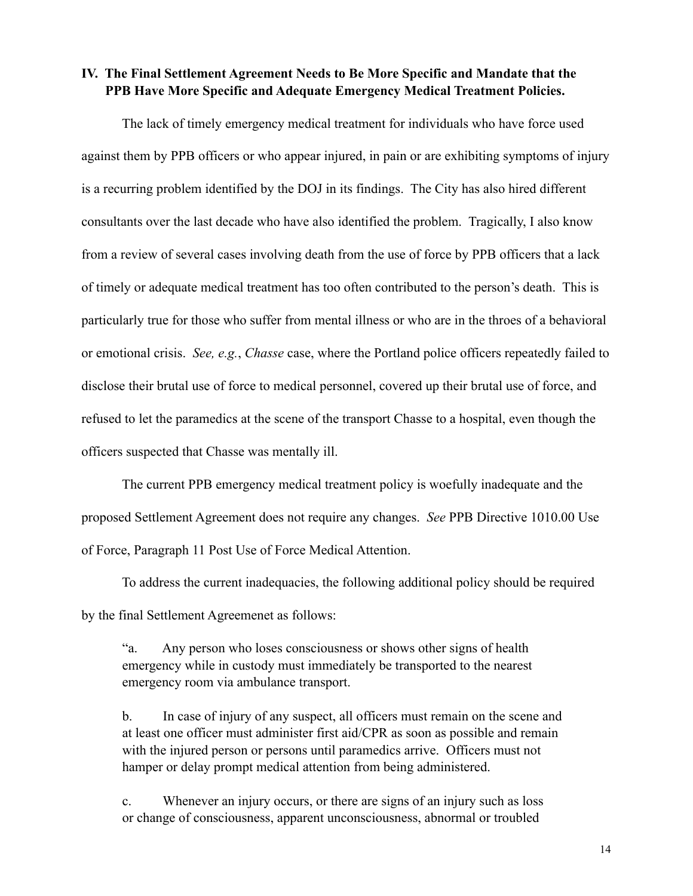**IV. The Final Settlement Agreement Needs to Be More Specific and Mandate that the PPB Have More Specific and Adequate Emergency Medical Treatment Policies.**

 The lack of timely emergency medical treatment for individuals who have force used against them by PPB officers or who appear injured, in pain or are exhibiting symptoms of injury is a recurring problem identified by the DOJ in its findings. The City has also hired different consultants over the last decade who have also identified the problem. Tragically, I also know from a review of several cases involving death from the use of force by PPB officers that a lack of timely or adequate medical treatment has too often contributed to the person's death. This is particularly true for those who suffer from mental illness or who are in the throes of a behavioral or emotional crisis. *See, e.g.*, *Chasse* case, where the Portland police officers repeatedly failed to disclose their brutal use of force to medical personnel, covered up their brutal use of force, and refused to let the paramedics at the scene of the transport Chasse to a hospital, even though the officers suspected that Chasse was mentally ill.

 The current PPB emergency medical treatment policy is woefully inadequate and the proposed Settlement Agreement does not require any changes. *See* PPB Directive 1010.00 Use of Force, Paragraph 11 Post Use of Force Medical Attention.

 To address the current inadequacies, the following additional policy should be required by the final Settlement Agreemenet as follows:

 "a. Any person who loses consciousness or shows other signs of health emergency while in custody must immediately be transported to the nearest emergency room via ambulance transport.

b. In case of injury of any suspect, all officers must remain on the scene and at least one officer must administer first aid/CPR as soon as possible and remain with the injured person or persons until paramedics arrive. Officers must not hamper or delay prompt medical attention from being administered.

c. Whenever an injury occurs, or there are signs of an injury such as loss or change of consciousness, apparent unconsciousness, abnormal or troubled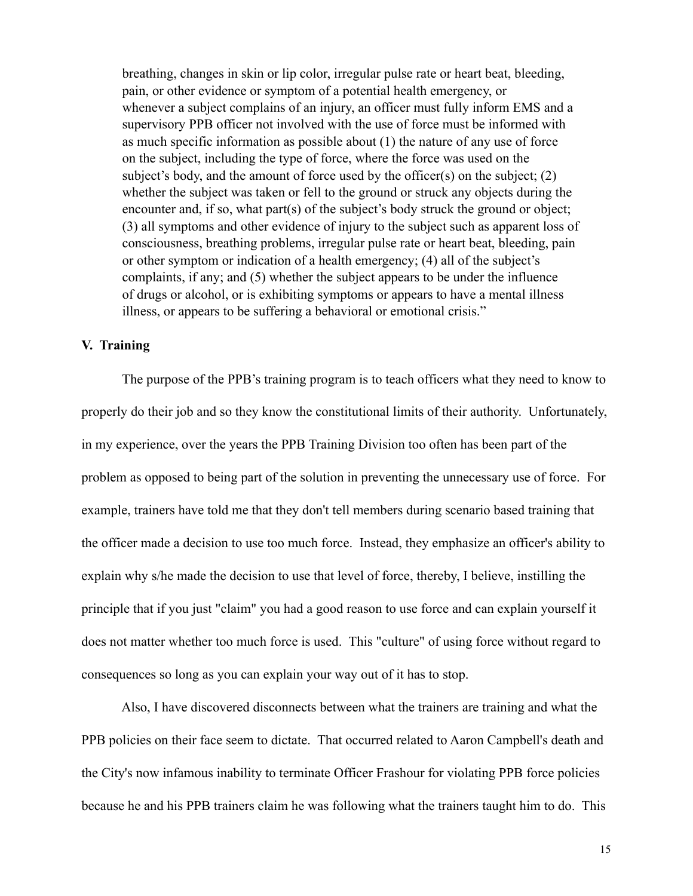breathing, changes in skin or lip color, irregular pulse rate or heart beat, bleeding, pain, or other evidence or symptom of a potential health emergency, or whenever a subject complains of an injury, an officer must fully inform EMS and a supervisory PPB officer not involved with the use of force must be informed with as much specific information as possible about (1) the nature of any use of force on the subject, including the type of force, where the force was used on the subject's body, and the amount of force used by the officer(s) on the subject;  $(2)$ whether the subject was taken or fell to the ground or struck any objects during the encounter and, if so, what part(s) of the subject's body struck the ground or object; (3) all symptoms and other evidence of injury to the subject such as apparent loss of consciousness, breathing problems, irregular pulse rate or heart beat, bleeding, pain or other symptom or indication of a health emergency; (4) all of the subject's complaints, if any; and (5) whether the subject appears to be under the influence of drugs or alcohol, or is exhibiting symptoms or appears to have a mental illness illness, or appears to be suffering a behavioral or emotional crisis."

### **V. Training**

 The purpose of the PPB's training program is to teach officers what they need to know to properly do their job and so they know the constitutional limits of their authority. Unfortunately, in my experience, over the years the PPB Training Division too often has been part of the problem as opposed to being part of the solution in preventing the unnecessary use of force. For example, trainers have told me that they don't tell members during scenario based training that the officer made a decision to use too much force. Instead, they emphasize an officer's ability to explain why s/he made the decision to use that level of force, thereby, I believe, instilling the principle that if you just "claim" you had a good reason to use force and can explain yourself it does not matter whether too much force is used. This "culture" of using force without regard to consequences so long as you can explain your way out of it has to stop.

 Also, I have discovered disconnects between what the trainers are training and what the PPB policies on their face seem to dictate. That occurred related to Aaron Campbell's death and the City's now infamous inability to terminate Officer Frashour for violating PPB force policies because he and his PPB trainers claim he was following what the trainers taught him to do. This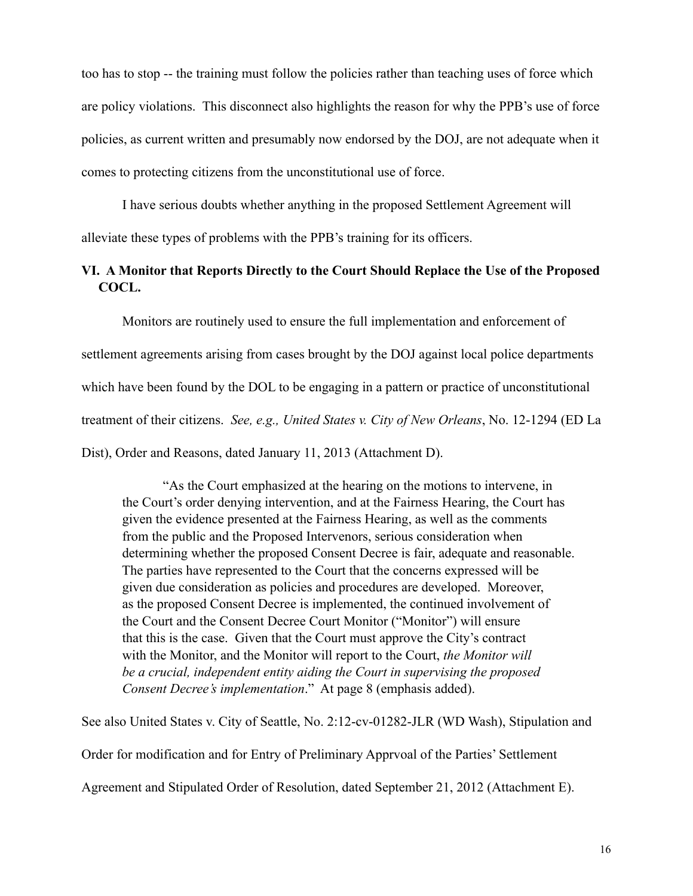too has to stop -- the training must follow the policies rather than teaching uses of force which are policy violations. This disconnect also highlights the reason for why the PPB's use of force policies, as current written and presumably now endorsed by the DOJ, are not adequate when it comes to protecting citizens from the unconstitutional use of force.

 I have serious doubts whether anything in the proposed Settlement Agreement will alleviate these types of problems with the PPB's training for its officers.

### **VI. A Monitor that Reports Directly to the Court Should Replace the Use of the Proposed COCL.**

Monitors are routinely used to ensure the full implementation and enforcement of settlement agreements arising from cases brought by the DOJ against local police departments which have been found by the DOL to be engaging in a pattern or practice of unconstitutional treatment of their citizens. *See, e.g., United States v. City of New Orleans*, No. 12-1294 (ED La Dist), Order and Reasons, dated January 11, 2013 (Attachment D).

 "As the Court emphasized at the hearing on the motions to intervene, in the Court's order denying intervention, and at the Fairness Hearing, the Court has given the evidence presented at the Fairness Hearing, as well as the comments from the public and the Proposed Intervenors, serious consideration when determining whether the proposed Consent Decree is fair, adequate and reasonable. The parties have represented to the Court that the concerns expressed will be given due consideration as policies and procedures are developed. Moreover, as the proposed Consent Decree is implemented, the continued involvement of the Court and the Consent Decree Court Monitor ("Monitor") will ensure that this is the case. Given that the Court must approve the City's contract with the Monitor, and the Monitor will report to the Court, *the Monitor will be a crucial, independent entity aiding the Court in supervising the proposed Consent Decree's implementation*." At page 8 (emphasis added).

See also United States v. City of Seattle, No. 2:12-cv-01282-JLR (WD Wash), Stipulation and

Order for modification and for Entry of Preliminary Apprvoal of the Parties' Settlement

Agreement and Stipulated Order of Resolution, dated September 21, 2012 (Attachment E).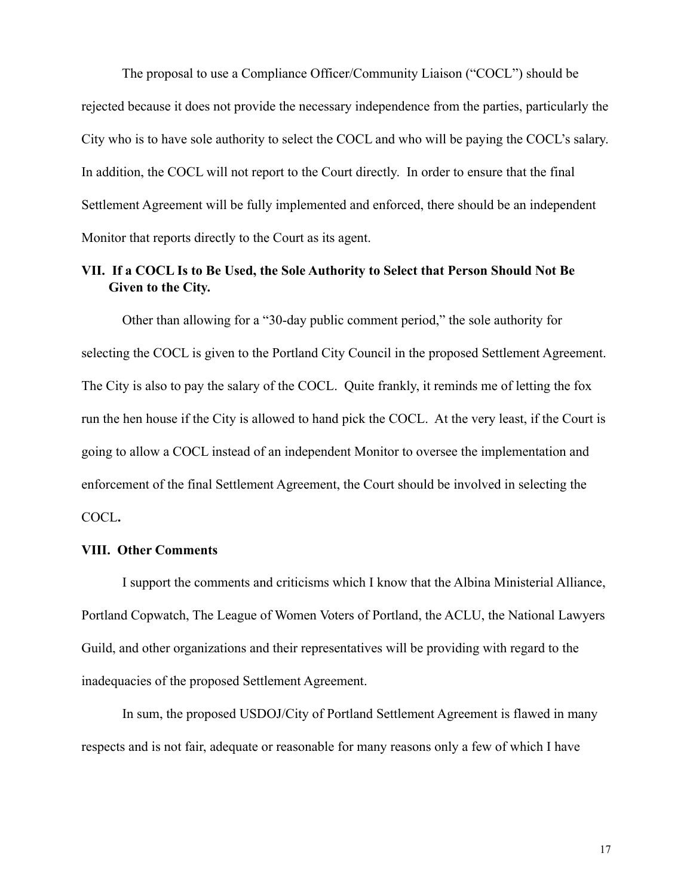The proposal to use a Compliance Officer/Community Liaison ("COCL") should be rejected because it does not provide the necessary independence from the parties, particularly the City who is to have sole authority to select the COCL and who will be paying the COCL's salary. In addition, the COCL will not report to the Court directly. In order to ensure that the final Settlement Agreement will be fully implemented and enforced, there should be an independent Monitor that reports directly to the Court as its agent.

### **VII. If a COCL Is to Be Used, the Sole Authority to Select that Person Should Not Be Given to the City.**

Other than allowing for a "30-day public comment period," the sole authority for selecting the COCL is given to the Portland City Council in the proposed Settlement Agreement. The City is also to pay the salary of the COCL. Quite frankly, it reminds me of letting the fox run the hen house if the City is allowed to hand pick the COCL. At the very least, if the Court is going to allow a COCL instead of an independent Monitor to oversee the implementation and enforcement of the final Settlement Agreement, the Court should be involved in selecting the COCL**.** 

### **VIII. Other Comments**

 I support the comments and criticisms which I know that the Albina Ministerial Alliance, Portland Copwatch, The League of Women Voters of Portland, the ACLU, the National Lawyers Guild, and other organizations and their representatives will be providing with regard to the inadequacies of the proposed Settlement Agreement.

 In sum, the proposed USDOJ/City of Portland Settlement Agreement is flawed in many respects and is not fair, adequate or reasonable for many reasons only a few of which I have